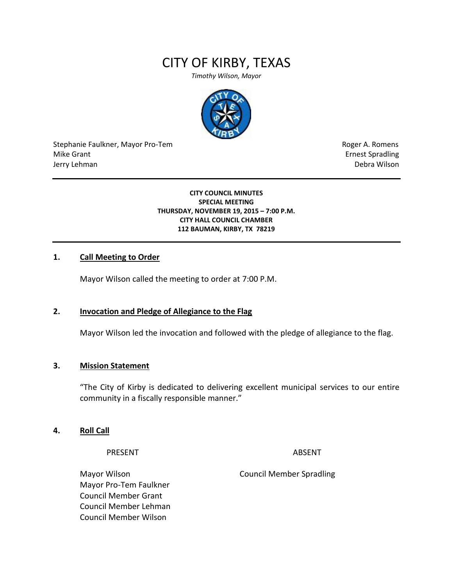# CITY OF KIRBY, TEXAS

*Timothy Wilson, Mayor*



Stephanie Faulkner, Mayor Pro-Tem **Roger A. Romens** Roger A. Romens Mike Grant **Example 2018** Mike Grant **Example 2018** Ernest Spradling Jerry Lehman Debra Wilson

**CITY COUNCIL MINUTES SPECIAL MEETING THURSDAY, NOVEMBER 19, 2015 – 7:00 P.M. CITY HALL COUNCIL CHAMBER 112 BAUMAN, KIRBY, TX 78219**

#### **1. Call Meeting to Order**

Mayor Wilson called the meeting to order at 7:00 P.M.

#### **2. Invocation and Pledge of Allegiance to the Flag**

Mayor Wilson led the invocation and followed with the pledge of allegiance to the flag.

#### **3. Mission Statement**

"The City of Kirby is dedicated to delivering excellent municipal services to our entire community in a fiscally responsible manner."

#### **4. Roll Call**

PRESENT ABSENT

Mayor Pro-Tem Faulkner Council Member Grant Council Member Lehman Council Member Wilson

Mayor Wilson Council Member Spradling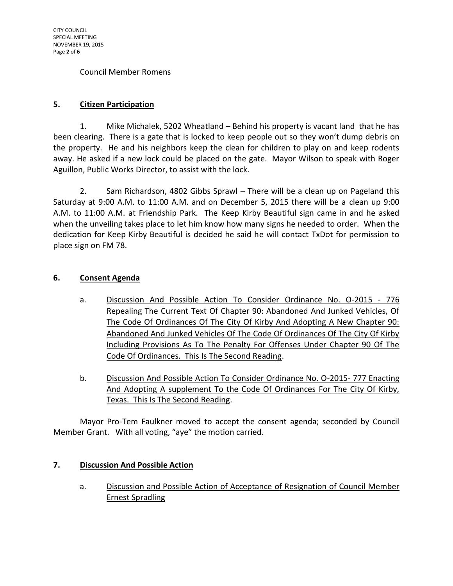#### Council Member Romens

## **5. Citizen Participation**

1. Mike Michalek, 5202 Wheatland – Behind his property is vacant land that he has been clearing. There is a gate that is locked to keep people out so they won't dump debris on the property. He and his neighbors keep the clean for children to play on and keep rodents away. He asked if a new lock could be placed on the gate. Mayor Wilson to speak with Roger Aguillon, Public Works Director, to assist with the lock.

2. Sam Richardson, 4802 Gibbs Sprawl – There will be a clean up on Pageland this Saturday at 9:00 A.M. to 11:00 A.M. and on December 5, 2015 there will be a clean up 9:00 A.M. to 11:00 A.M. at Friendship Park. The Keep Kirby Beautiful sign came in and he asked when the unveiling takes place to let him know how many signs he needed to order. When the dedication for Keep Kirby Beautiful is decided he said he will contact TxDot for permission to place sign on FM 78.

#### **6. Consent Agenda**

- a. Discussion And Possible Action To Consider Ordinance No. O-2015 776 Repealing The Current Text Of Chapter 90: Abandoned And Junked Vehicles, Of The Code Of Ordinances Of The City Of Kirby And Adopting A New Chapter 90: Abandoned And Junked Vehicles Of The Code Of Ordinances Of The City Of Kirby Including Provisions As To The Penalty For Offenses Under Chapter 90 Of The Code Of Ordinances. This Is The Second Reading.
- b. Discussion And Possible Action To Consider Ordinance No. 0-2015- 777 Enacting And Adopting A supplement To the Code Of Ordinances For The City Of Kirby, Texas. This Is The Second Reading.

Mayor Pro-Tem Faulkner moved to accept the consent agenda; seconded by Council Member Grant. With all voting, "aye" the motion carried.

#### **7. Discussion And Possible Action**

a. Discussion and Possible Action of Acceptance of Resignation of Council Member Ernest Spradling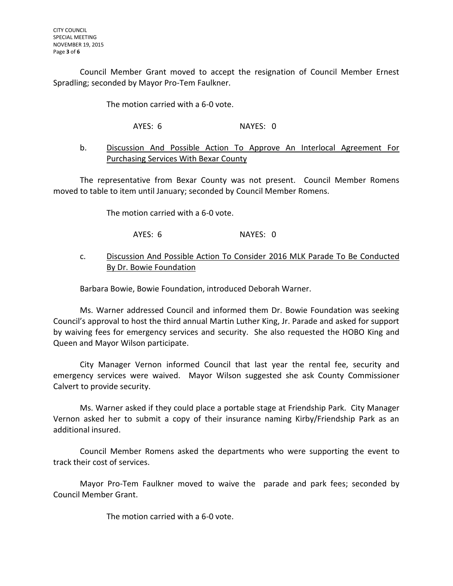Council Member Grant moved to accept the resignation of Council Member Ernest Spradling; seconded by Mayor Pro-Tem Faulkner.

The motion carried with a 6-0 vote.

AYES: 6 NAYES: 0

## b. Discussion And Possible Action To Approve An Interlocal Agreement For Purchasing Services With Bexar County

The representative from Bexar County was not present. Council Member Romens moved to table to item until January; seconded by Council Member Romens.

The motion carried with a 6-0 vote.

AYES: 6 NAYES: 0

## c. Discussion And Possible Action To Consider 2016 MLK Parade To Be Conducted By Dr. Bowie Foundation

Barbara Bowie, Bowie Foundation, introduced Deborah Warner.

Ms. Warner addressed Council and informed them Dr. Bowie Foundation was seeking Council's approval to host the third annual Martin Luther King, Jr. Parade and asked for support by waiving fees for emergency services and security. She also requested the HOBO King and Queen and Mayor Wilson participate.

City Manager Vernon informed Council that last year the rental fee, security and emergency services were waived. Mayor Wilson suggested she ask County Commissioner Calvert to provide security.

Ms. Warner asked if they could place a portable stage at Friendship Park. City Manager Vernon asked her to submit a copy of their insurance naming Kirby/Friendship Park as an additional insured.

Council Member Romens asked the departments who were supporting the event to track their cost of services.

Mayor Pro-Tem Faulkner moved to waive the parade and park fees; seconded by Council Member Grant.

The motion carried with a 6-0 vote.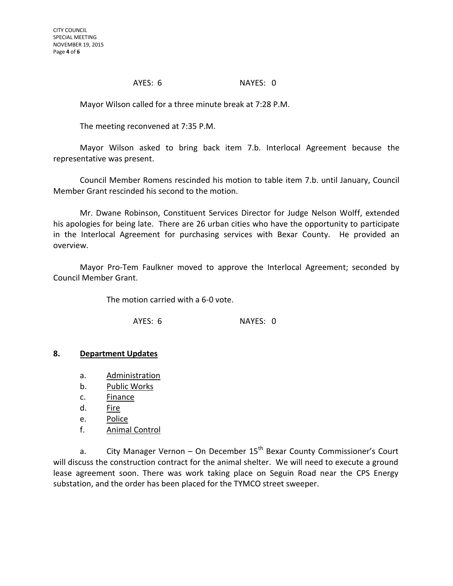AYES: 6 NAYES: 0

Mayor Wilson called for a three minute break at 7:28 P.M.

The meeting reconvened at 7:35 P.M.

Mayor Wilson asked to bring back item 7.b. Interlocal Agreement because the representative was present.

Council Member Romens rescinded his motion to table item 7.b. until January, Council Member Grant rescinded his second to the motion.

Mr. Dwane Robinson, Constituent Services Director for Judge Nelson Wolff, extended his apologies for being late. There are 26 urban cities who have the opportunity to participate in the Interlocal Agreement for purchasing services with Bexar County. He provided an overview.

Mayor Pro-Tem Faulkner moved to approve the Interlocal Agreement; seconded by Council Member Grant.

The motion carried with a 6-0 vote.

AYES: 6 NAYES: 0

#### **8. Department Updates**

- a. Administration
- b. Public Works
- c. Finance
- d. Fire
- e. Police
- f. Animal Control

a. City Manager Vernon – On December  $15<sup>th</sup>$  Bexar County Commissioner's Court will discuss the construction contract for the animal shelter. We will need to execute a ground lease agreement soon. There was work taking place on Seguin Road near the CPS Energy substation, and the order has been placed for the TYMCO street sweeper.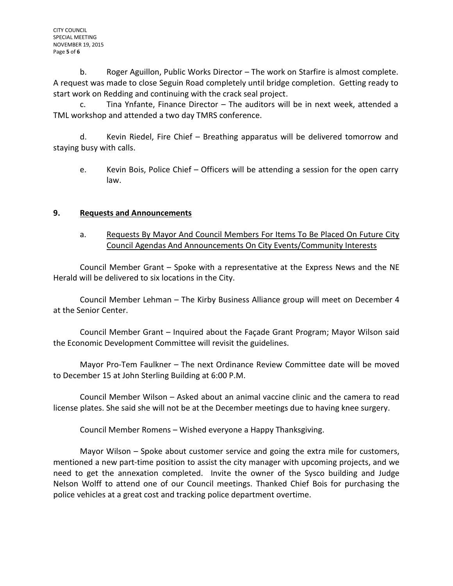b. Roger Aguillon, Public Works Director – The work on Starfire is almost complete. A request was made to close Seguin Road completely until bridge completion. Getting ready to start work on Redding and continuing with the crack seal project.

c. Tina Ynfante, Finance Director – The auditors will be in next week, attended a TML workshop and attended a two day TMRS conference.

d. Kevin Riedel, Fire Chief – Breathing apparatus will be delivered tomorrow and staying busy with calls.

e. Kevin Bois, Police Chief – Officers will be attending a session for the open carry law.

## **9. Requests and Announcements**

a. Requests By Mayor And Council Members For Items To Be Placed On Future City Council Agendas And Announcements On City Events/Community Interests

Council Member Grant – Spoke with a representative at the Express News and the NE Herald will be delivered to six locations in the City.

Council Member Lehman – The Kirby Business Alliance group will meet on December 4 at the Senior Center.

Council Member Grant – Inquired about the Façade Grant Program; Mayor Wilson said the Economic Development Committee will revisit the guidelines.

Mayor Pro-Tem Faulkner – The next Ordinance Review Committee date will be moved to December 15 at John Sterling Building at 6:00 P.M.

Council Member Wilson – Asked about an animal vaccine clinic and the camera to read license plates. She said she will not be at the December meetings due to having knee surgery.

Council Member Romens – Wished everyone a Happy Thanksgiving.

Mayor Wilson – Spoke about customer service and going the extra mile for customers, mentioned a new part-time position to assist the city manager with upcoming projects, and we need to get the annexation completed. Invite the owner of the Sysco building and Judge Nelson Wolff to attend one of our Council meetings. Thanked Chief Bois for purchasing the police vehicles at a great cost and tracking police department overtime.